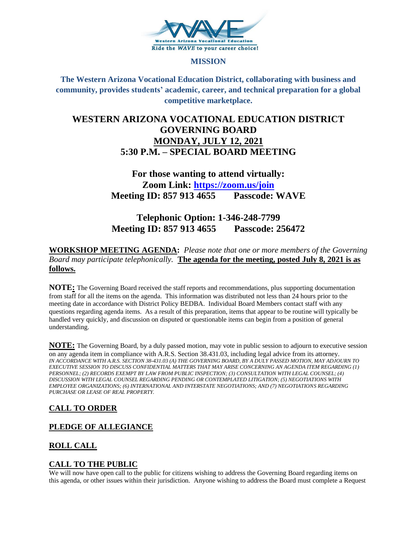

#### **MISSION**

**The Western Arizona Vocational Education District, collaborating with business and community, provides students' academic, career, and technical preparation for a global competitive marketplace.**

## **WESTERN ARIZONA VOCATIONAL EDUCATION DISTRICT GOVERNING BOARD MONDAY, JULY 12, 2021 5:30 P.M. – SPECIAL BOARD MEETING**

# **For those wanting to attend virtually: Zoom Link:<https://zoom.us/join> Meeting ID: 857 913 4655 Passcode: WAVE**

**Telephonic Option: 1-346-248-7799 Meeting ID: 857 913 4655 Passcode: 256472**

### **WORKSHOP MEETING AGENDA:** *Please note that one or more members of the Governing Board may participate telephonically.* **The agenda for the meeting, posted July 8, 2021 is as follows.**

**NOTE:** The Governing Board received the staff reports and recommendations, plus supporting documentation from staff for all the items on the agenda. This information was distributed not less than 24 hours prior to the meeting date in accordance with District Policy BEDBA. Individual Board Members contact staff with any questions regarding agenda items. As a result of this preparation, items that appear to be routine will typically be handled very quickly, and discussion on disputed or questionable items can begin from a position of general understanding.

**NOTE:** The Governing Board, by a duly passed motion, may vote in public session to adjourn to executive session on any agenda item in compliance with A.R.S. Section 38.431.03, including legal advice from its attorney. *IN ACCORDANCE WITH A.R.S. SECTION 38-431.03 (A) THE GOVERNING BOARD, BY A DULY PASSED MOTION, MAY ADJOURN TO EXECUTIVE SESSION TO DISCUSS CONFIDENTIAL MATTERS THAT MAY ARISE CONCERNING AN AGENDA ITEM REGARDING (1) PERSONNEL; (2) RECORDS EXEMPT BY LAW FROM PUBLIC INSPECTION; (3) CONSULTATION WITH LEGAL COUNSEL; (4) DISCUSSION WITH LEGAL COUNSEL REGARDING PENDING OR CONTEMPLATED LITIGATION; (5) NEGOTIATIONS WITH EMPLOYEE ORGANIZATIONS; (6) INTERNATIONAL AND INTERSTATE NEGOTIATIONS; AND (7) NEGOTIATIONS REGARDING PURCHASE OR LEASE OF REAL PROPERTY.*

## **CALL TO ORDER**

## **PLEDGE OF ALLEGIANCE**

## **ROLL CALL**

## **CALL TO THE PUBLIC**

We will now have open call to the public for citizens wishing to address the Governing Board regarding items on this agenda, or other issues within their jurisdiction. Anyone wishing to address the Board must complete a Request